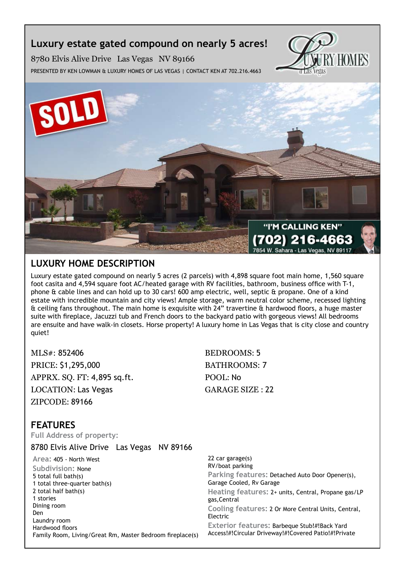## **Luxury estate gated compound on nearly 5 acres!**

HOM EN rtas

8780 Elvis Alive Drive Las Vegas NV 89166 Presented by Ken Lowman & Luxury Homes of Las Vegas | Contact Ken at 702.216.4663



## **Luxury Home description**

Luxury estate gated compound on nearly 5 acres (2 parcels) with 4,898 square foot main home, 1,560 square foot casita and 4,594 square foot AC/heated garage with RV facilities, bathroom, business office with T-1, phone & cable lines and can hold up to 30 cars! 600 amp electric, well, septic & propane. One of a kind estate with incredible mountain and city views! Ample storage, warm neutral color scheme, recessed lighting & ceiling fans throughout. The main home is exquisite with 24" travertine & hardwood floors, a huge master suite with fireplace, Jacuzzi tub and French doors to the backyard patio with gorgeous views! All bedrooms are ensuite and have walk-in closets. Horse property! A luxury home in Las Vegas that is city close and country quiet!

MLS#: 852406 BEDROOMS: 5 PRICE: \$1,295,000 BATHROOMS: 7 APPRX. SO. FT: 4,895 sq.ft. POOL: No LOCATION: Las Vegas GARAGE SIZE : 22 ZIPCODE: 89166

## **features**

**Full Address of property:**

8780 Elvis Alive Drive Las Vegas NV 89166

**Area:** 405 - North West **Subdivision:** None 5 total full bath(s) 1 total three-quarter bath(s) 2 total half bath(s) 1 stories Dining room Den Laundry room Hardwood floors Family Room, Living/Great Rm, Master Bedroom fireplace(s) 22 car garage(s) RV/boat parking **Parking features:** Detached Auto Door Opener(s), Garage Cooled, Rv Garage **Heating features:** 2+ units, Central, Propane gas/LP gas,Central **Cooling features:** 2 Or More Central Units, Central, Electric **Exterior features:** Barbeque Stub!#!Back Yard Access!#!Circular Driveway!#!Covered Patio!#!Private